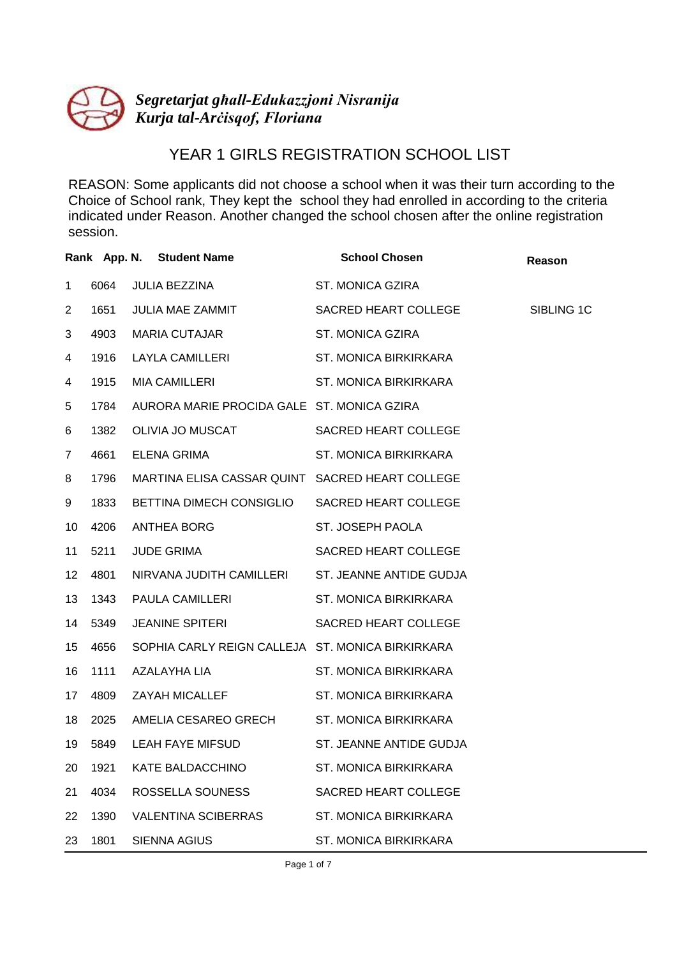

## YEAR 1 GIRLS REGISTRATION SCHOOL LIST

|                 |      | Rank App. N. Student Name                        | <b>School Chosen</b>         | Reason     |
|-----------------|------|--------------------------------------------------|------------------------------|------------|
| $\mathbf 1$     | 6064 | JULIA BEZZINA                                    | ST. MONICA GZIRA             |            |
| $\overline{2}$  | 1651 | JULIA MAE ZAMMIT                                 | SACRED HEART COLLEGE         | SIBLING 1C |
| 3               | 4903 | MARIA CUTAJAR                                    | ST. MONICA GZIRA             |            |
| 4               | 1916 | LAYLA CAMILLERI                                  | ST. MONICA BIRKIRKARA        |            |
| 4               | 1915 | MIA CAMILLERI                                    | ST. MONICA BIRKIRKARA        |            |
| 5               | 1784 | AURORA MARIE PROCIDA GALE ST. MONICA GZIRA       |                              |            |
| 6               | 1382 | OLIVIA JO MUSCAT                                 | SACRED HEART COLLEGE         |            |
| 7               | 4661 | ELENA GRIMA                                      | <b>ST. MONICA BIRKIRKARA</b> |            |
| 8               | 1796 | MARTINA ELISA CASSAR QUINT SACRED HEART COLLEGE  |                              |            |
| 9               | 1833 | BETTINA DIMECH CONSIGLIO                         | SACRED HEART COLLEGE         |            |
| 10              | 4206 | ANTHEA BORG                                      | ST. JOSEPH PAOLA             |            |
| 11              | 5211 | <b>JUDE GRIMA</b>                                | SACRED HEART COLLEGE         |            |
| 12 <sup>°</sup> | 4801 | NIRVANA JUDITH CAMILLERI ST. JEANNE ANTIDE GUDJA |                              |            |
| 13              | 1343 | PAULA CAMILLERI                                  | <b>ST. MONICA BIRKIRKARA</b> |            |
| 14              | 5349 | <b>JEANINE SPITERI</b>                           | SACRED HEART COLLEGE         |            |
| 15              | 4656 | SOPHIA CARLY REIGN CALLEJA ST. MONICA BIRKIRKARA |                              |            |
| 16              | 1111 | AZALAYHA LIA                                     | ST. MONICA BIRKIRKARA        |            |
| 17              | 4809 | ZAYAH MICALLEF                                   | ST. MONICA BIRKIRKARA        |            |
| 18              | 2025 | AMELIA CESAREO GRECH                             | <b>ST. MONICA BIRKIRKARA</b> |            |
| 19              | 5849 | LEAH FAYE MIFSUD                                 | ST. JEANNE ANTIDE GUDJA      |            |
| 20              | 1921 | KATE BALDACCHINO                                 | ST. MONICA BIRKIRKARA        |            |
| 21              | 4034 | ROSSELLA SOUNESS                                 | SACRED HEART COLLEGE         |            |
| 22              | 1390 | VALENTINA SCIBERRAS                              | ST. MONICA BIRKIRKARA        |            |
| 23              | 1801 | SIENNA AGIUS                                     | ST. MONICA BIRKIRKARA        |            |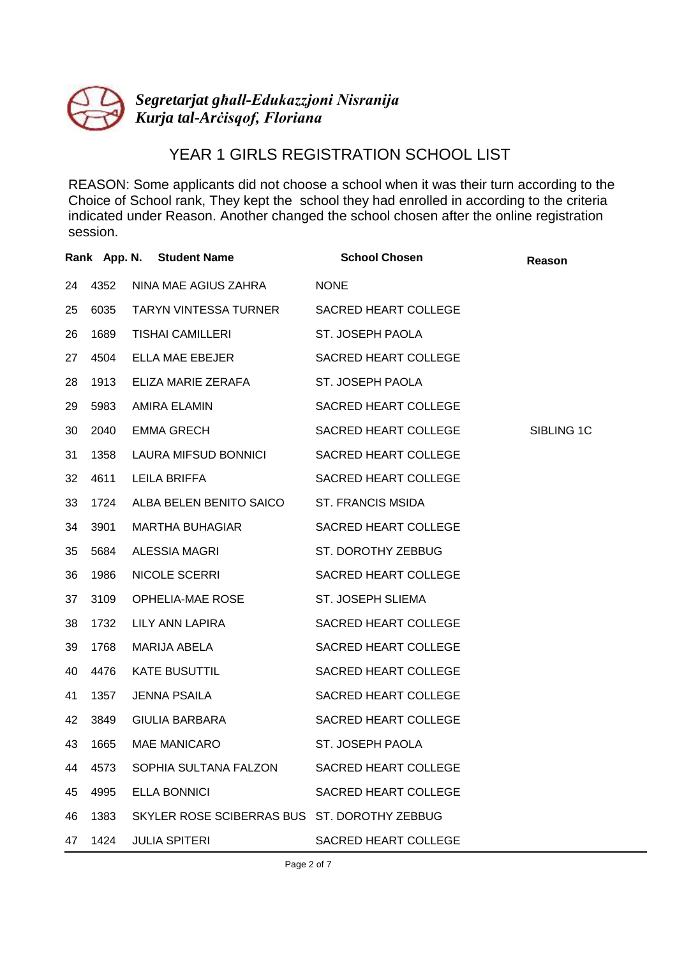

## YEAR 1 GIRLS REGISTRATION SCHOOL LIST

|    |      | Rank App. N. Student Name                    | <b>School Chosen</b> | Reason     |
|----|------|----------------------------------------------|----------------------|------------|
| 24 | 4352 | NINA MAE AGIUS ZAHRA                         | <b>NONE</b>          |            |
| 25 | 6035 | TARYN VINTESSA TURNER                        | SACRED HEART COLLEGE |            |
| 26 | 1689 | TISHAI CAMILLERI                             | ST. JOSEPH PAOLA     |            |
| 27 | 4504 | ELLA MAE EBEJER                              | SACRED HEART COLLEGE |            |
| 28 | 1913 | ELIZA MARIE ZERAFA                           | ST. JOSEPH PAOLA     |            |
| 29 | 5983 | AMIRA ELAMIN                                 | SACRED HEART COLLEGE |            |
| 30 | 2040 | EMMA GRECH                                   | SACRED HEART COLLEGE | SIBLING 1C |
| 31 | 1358 | LAURA MIFSUD BONNICI                         | SACRED HEART COLLEGE |            |
| 32 | 4611 | LEILA BRIFFA                                 | SACRED HEART COLLEGE |            |
| 33 | 1724 | ALBA BELEN BENITO SAICO                      | ST. FRANCIS MSIDA    |            |
| 34 | 3901 | MARTHA BUHAGIAR                              | SACRED HEART COLLEGE |            |
| 35 | 5684 | ALESSIA MAGRI                                | ST. DOROTHY ZEBBUG   |            |
| 36 | 1986 | NICOLE SCERRI                                | SACRED HEART COLLEGE |            |
| 37 | 3109 | OPHELIA-MAE ROSE                             | ST. JOSEPH SLIEMA    |            |
| 38 | 1732 | LILY ANN LAPIRA                              | SACRED HEART COLLEGE |            |
| 39 | 1768 | MARIJA ABELA                                 | SACRED HEART COLLEGE |            |
| 40 | 4476 | <b>KATE BUSUTTIL</b>                         | SACRED HEART COLLEGE |            |
| 41 | 1357 | JENNA PSAILA                                 | SACRED HEART COLLEGE |            |
| 42 | 3849 | GIULIA BARBARA                               | SACRED HEART COLLEGE |            |
| 43 | 1665 | MAE MANICARO                                 | ST. JOSEPH PAOLA     |            |
| 44 | 4573 | SOPHIA SULTANA FALZON                        | SACRED HEART COLLEGE |            |
| 45 | 4995 | ELLA BONNICI                                 | SACRED HEART COLLEGE |            |
| 46 | 1383 | SKYLER ROSE SCIBERRAS BUS ST. DOROTHY ZEBBUG |                      |            |
| 47 | 1424 | JULIA SPITERI                                | SACRED HEART COLLEGE |            |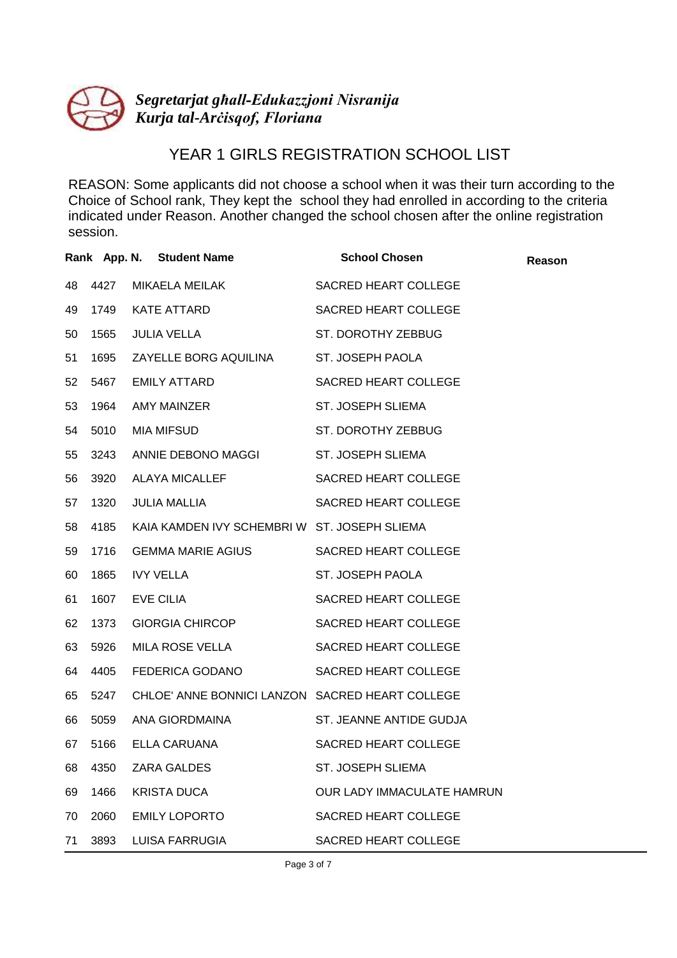

## YEAR 1 GIRLS REGISTRATION SCHOOL LIST

|    |      | Rank App. N. Student Name                       | <b>School Chosen</b>        | Reason |
|----|------|-------------------------------------------------|-----------------------------|--------|
| 48 | 4427 | MIKAELA MEILAK                                  | SACRED HEART COLLEGE        |        |
| 49 | 1749 | KATE ATTARD                                     | <b>SACRED HEART COLLEGE</b> |        |
| 50 | 1565 | <b>JULIA VELLA</b>                              | ST. DOROTHY ZEBBUG          |        |
| 51 | 1695 | ZAYELLE BORG AQUILINA                           | ST. JOSEPH PAOLA            |        |
| 52 | 5467 | <b>EMILY ATTARD</b>                             | SACRED HEART COLLEGE        |        |
| 53 | 1964 | AMY MAINZER                                     | ST. JOSEPH SLIEMA           |        |
| 54 | 5010 | MIA MIFSUD                                      | ST. DOROTHY ZEBBUG          |        |
| 55 | 3243 | ANNIE DEBONO MAGGI                              | ST. JOSEPH SLIEMA           |        |
| 56 | 3920 | <b>ALAYA MICALLEF</b>                           | <b>SACRED HEART COLLEGE</b> |        |
| 57 | 1320 | JULIA MALLIA                                    | SACRED HEART COLLEGE        |        |
| 58 | 4185 | KAIA KAMDEN IVY SCHEMBRI W ST. JOSEPH SLIEMA    |                             |        |
| 59 | 1716 | GEMMA MARIE AGIUS                               | SACRED HEART COLLEGE        |        |
| 60 | 1865 | <b>IVY VELLA</b>                                | ST. JOSEPH PAOLA            |        |
| 61 | 1607 | EVE CILIA                                       | SACRED HEART COLLEGE        |        |
| 62 | 1373 | <b>GIORGIA CHIRCOP</b>                          | SACRED HEART COLLEGE        |        |
| 63 | 5926 | MILA ROSE VELLA                                 | SACRED HEART COLLEGE        |        |
| 64 | 4405 | FEDERICA GODANO                                 | <b>SACRED HEART COLLEGE</b> |        |
| 65 | 5247 | CHLOE' ANNE BONNICI LANZON SACRED HEART COLLEGE |                             |        |
| 66 | 5059 | ANA GIORDMAINA                                  | ST. JEANNE ANTIDE GUDJA     |        |
| 67 | 5166 | ELLA CARUANA                                    | SACRED HEART COLLEGE        |        |
| 68 | 4350 | ZARA GALDES                                     | ST. JOSEPH SLIEMA           |        |
| 69 | 1466 | KRISTA DUCA                                     | OUR LADY IMMACULATE HAMRUN  |        |
| 70 | 2060 | <b>EMILY LOPORTO</b>                            | SACRED HEART COLLEGE        |        |
| 71 | 3893 | LUISA FARRUGIA                                  | SACRED HEART COLLEGE        |        |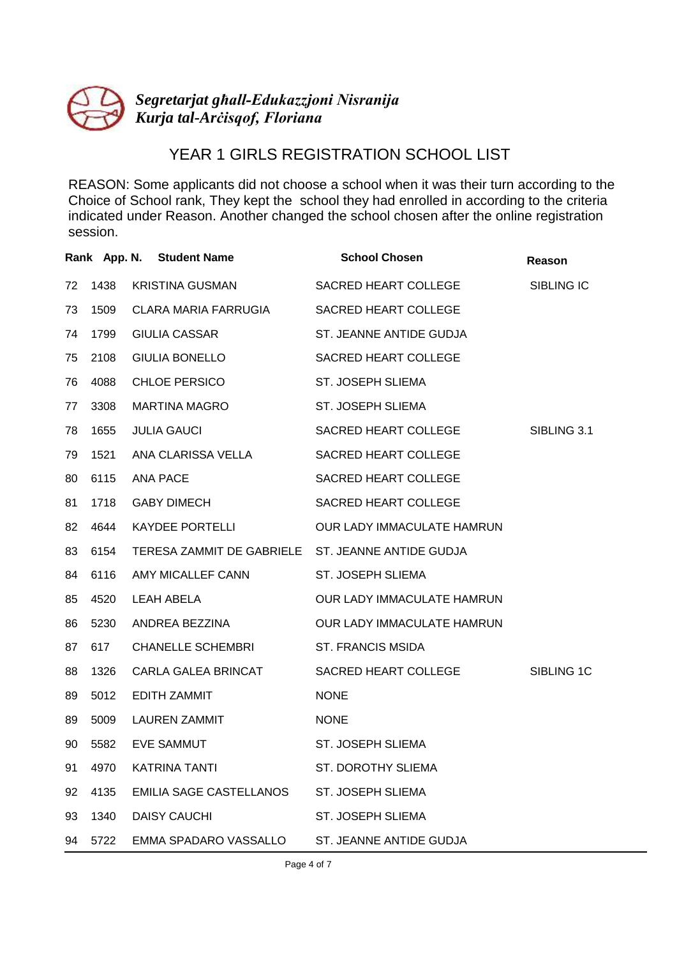

## YEAR 1 GIRLS REGISTRATION SCHOOL LIST

REASON: Some applicants did not choose a school when it was their turn according to the Choice of School rank, They kept the school they had enrolled in according to the criteria indicated under Reason. Another changed the school chosen after the online registration session.

|    |      | Rank App. N. Student Name      | <b>School Chosen</b>              | Reason      |
|----|------|--------------------------------|-----------------------------------|-------------|
| 72 | 1438 | <b>KRISTINA GUSMAN</b>         | SACRED HEART COLLEGE              | SIBLING IC  |
| 73 | 1509 | <b>CLARA MARIA FARRUGIA</b>    | <b>SACRED HEART COLLEGE</b>       |             |
| 74 | 1799 | <b>GIULIA CASSAR</b>           | ST. JEANNE ANTIDE GUDJA           |             |
| 75 | 2108 | <b>GIULIA BONELLO</b>          | SACRED HEART COLLEGE              |             |
| 76 | 4088 | <b>CHLOE PERSICO</b>           | ST. JOSEPH SLIEMA                 |             |
| 77 | 3308 | <b>MARTINA MAGRO</b>           | ST. JOSEPH SLIEMA                 |             |
| 78 | 1655 | <b>JULIA GAUCI</b>             | SACRED HEART COLLEGE              | SIBLING 3.1 |
| 79 | 1521 | ANA CLARISSA VELLA             | SACRED HEART COLLEGE              |             |
| 80 | 6115 | <b>ANA PACE</b>                | SACRED HEART COLLEGE              |             |
| 81 | 1718 | <b>GABY DIMECH</b>             | SACRED HEART COLLEGE              |             |
| 82 | 4644 | <b>KAYDEE PORTELLI</b>         | <b>OUR LADY IMMACULATE HAMRUN</b> |             |
| 83 | 6154 | TERESA ZAMMIT DE GABRIELE      | ST. JEANNE ANTIDE GUDJA           |             |
| 84 | 6116 | AMY MICALLEF CANN              | ST. JOSEPH SLIEMA                 |             |
| 85 | 4520 | <b>LEAH ABELA</b>              | OUR LADY IMMACULATE HAMRUN        |             |
| 86 | 5230 | ANDREA BEZZINA                 | <b>OUR LADY IMMACULATE HAMRUN</b> |             |
| 87 | 617  | <b>CHANELLE SCHEMBRI</b>       | <b>ST. FRANCIS MSIDA</b>          |             |
| 88 | 1326 | CARLA GALEA BRINCAT            | SACRED HEART COLLEGE              | SIBLING 1C  |
| 89 | 5012 | <b>EDITH ZAMMIT</b>            | <b>NONE</b>                       |             |
| 89 | 5009 | <b>LAUREN ZAMMIT</b>           | <b>NONE</b>                       |             |
| 90 | 5582 | <b>EVE SAMMUT</b>              | ST. JOSEPH SLIEMA                 |             |
| 91 | 4970 | <b>KATRINA TANTI</b>           | <b>ST. DOROTHY SLIEMA</b>         |             |
| 92 | 4135 | <b>EMILIA SAGE CASTELLANOS</b> | ST. JOSEPH SLIEMA                 |             |
| 93 | 1340 | <b>DAISY CAUCHI</b>            | ST. JOSEPH SLIEMA                 |             |
| 94 | 5722 | EMMA SPADARO VASSALLO          | ST. JEANNE ANTIDE GUDJA           |             |

Page 4 of 7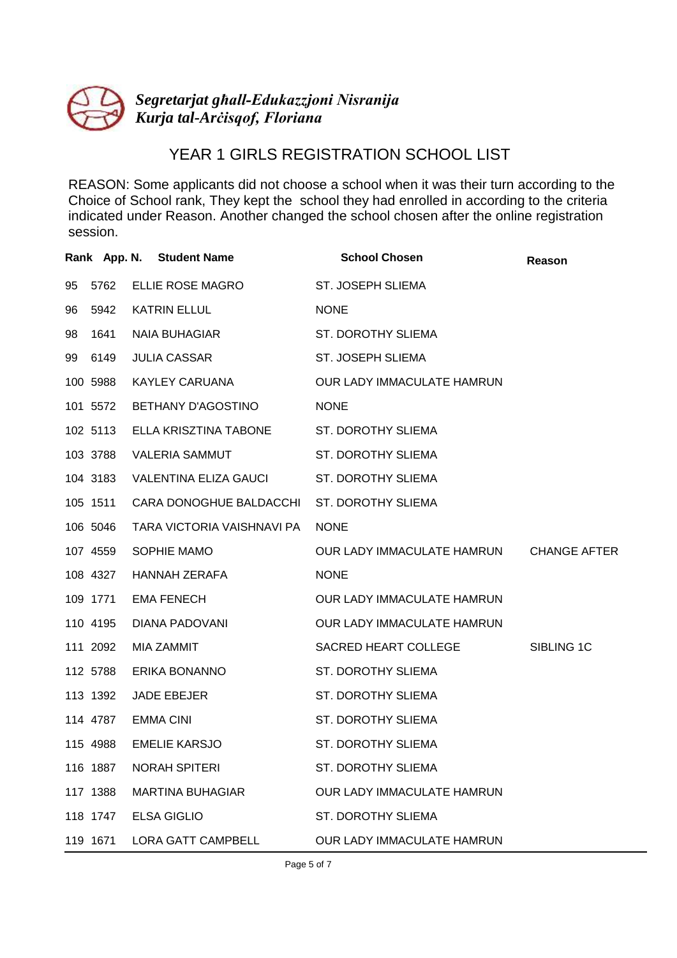

## YEAR 1 GIRLS REGISTRATION SCHOOL LIST

|    |          | Rank App. N. Student Name  | <b>School Chosen</b>                    | Reason     |
|----|----------|----------------------------|-----------------------------------------|------------|
| 95 | 5762     | ELLIE ROSE MAGRO           | ST. JOSEPH SLIEMA                       |            |
| 96 | 5942     | <b>KATRIN ELLUL</b>        | <b>NONE</b>                             |            |
| 98 | 1641     | <b>NAIA BUHAGIAR</b>       | ST. DOROTHY SLIEMA                      |            |
| 99 | 6149     | <b>JULIA CASSAR</b>        | ST. JOSEPH SLIEMA                       |            |
|    | 100 5988 | <b>KAYLEY CARUANA</b>      | OUR LADY IMMACULATE HAMRUN              |            |
|    | 101 5572 | BETHANY D'AGOSTINO         | <b>NONE</b>                             |            |
|    | 102 5113 | ELLA KRISZTINA TABONE      | <b>ST. DOROTHY SLIEMA</b>               |            |
|    | 103 3788 | <b>VALERIA SAMMUT</b>      | <b>ST. DOROTHY SLIEMA</b>               |            |
|    | 104 3183 | VALENTINA ELIZA GAUCI      | <b>ST. DOROTHY SLIEMA</b>               |            |
|    | 105 1511 | CARA DONOGHUE BALDACCHI    | <b>ST. DOROTHY SLIEMA</b>               |            |
|    | 106 5046 | TARA VICTORIA VAISHNAVI PA | <b>NONE</b>                             |            |
|    | 107 4559 | SOPHIE MAMO                | OUR LADY IMMACULATE HAMRUN CHANGE AFTER |            |
|    | 108 4327 | HANNAH ZERAFA              | <b>NONE</b>                             |            |
|    | 109 1771 | <b>EMA FENECH</b>          | OUR LADY IMMACULATE HAMRUN              |            |
|    | 110 4195 | DIANA PADOVANI             | OUR LADY IMMACULATE HAMRUN              |            |
|    | 111 2092 | MIA ZAMMIT                 | SACRED HEART COLLEGE                    | SIBLING 1C |
|    | 112 5788 | ERIKA BONANNO              | <b>ST. DOROTHY SLIEMA</b>               |            |
|    | 113 1392 | JADE EBEJER                | ST. DOROTHY SLIEMA                      |            |
|    | 114 4787 | <b>EMMA CINI</b>           | ST. DOROTHY SLIEMA                      |            |
|    | 115 4988 | <b>EMELIE KARSJO</b>       | <b>ST. DOROTHY SLIEMA</b>               |            |
|    | 116 1887 | <b>NORAH SPITERI</b>       | ST. DOROTHY SLIEMA                      |            |
|    | 117 1388 | <b>MARTINA BUHAGIAR</b>    | OUR LADY IMMACULATE HAMRUN              |            |
|    | 118 1747 | <b>ELSA GIGLIO</b>         | <b>ST. DOROTHY SLIEMA</b>               |            |
|    | 119 1671 | <b>LORA GATT CAMPBELL</b>  | OUR LADY IMMACULATE HAMRUN              |            |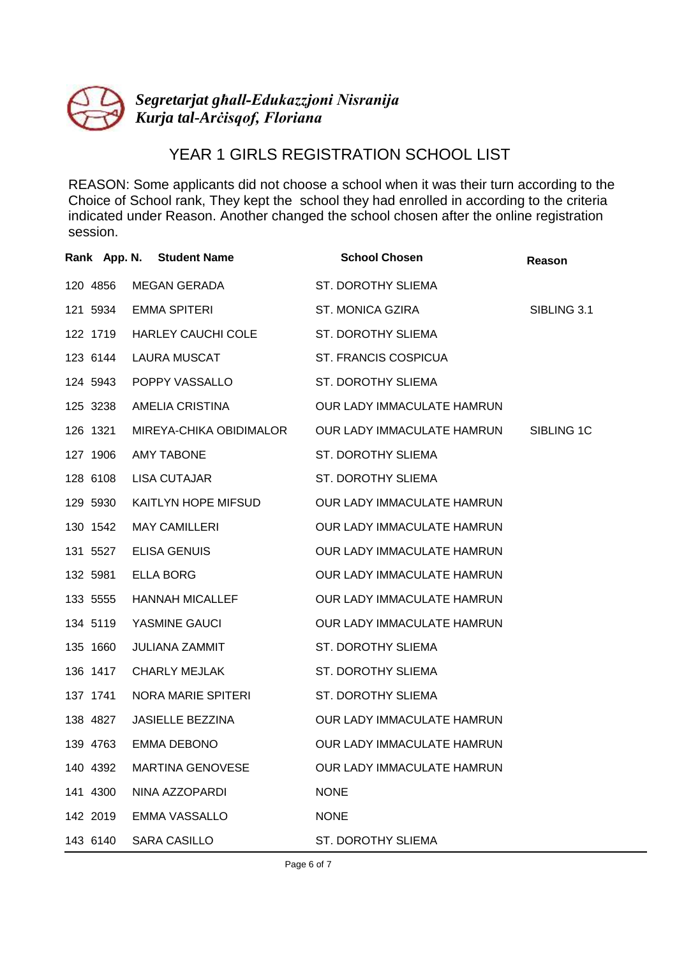

## YEAR 1 GIRLS REGISTRATION SCHOOL LIST

REASON: Some applicants did not choose a school when it was their turn according to the Choice of School rank, They kept the school they had enrolled in according to the criteria indicated under Reason. Another changed the school chosen after the online registration session.

|          | Rank App. N. Student Name | <b>School Chosen</b>       | Reason      |
|----------|---------------------------|----------------------------|-------------|
| 120 4856 | <b>MEGAN GERADA</b>       | <b>ST. DOROTHY SLIEMA</b>  |             |
| 121 5934 | <b>EMMA SPITERI</b>       | <b>ST. MONICA GZIRA</b>    | SIBLING 3.1 |
| 122 1719 | HARLEY CAUCHI COLE        | <b>ST. DOROTHY SLIEMA</b>  |             |
| 123 6144 | LAURA MUSCAT              | ST. FRANCIS COSPICUA       |             |
| 124 5943 | POPPY VASSALLO            | ST. DOROTHY SLIEMA         |             |
| 125 3238 | AMELIA CRISTINA           | OUR LADY IMMACULATE HAMRUN |             |
| 126 1321 | MIREYA-CHIKA OBIDIMALOR   | OUR LADY IMMACULATE HAMRUN | SIBLING 1C  |
| 127 1906 | <b>AMY TABONE</b>         | ST. DOROTHY SLIEMA         |             |
| 128 6108 | LISA CUTAJAR              | ST. DOROTHY SLIEMA         |             |
| 129 5930 | KAITLYN HOPE MIFSUD       | OUR LADY IMMACULATE HAMRUN |             |
| 130 1542 | MAY CAMILLERI             | OUR LADY IMMACULATE HAMRUN |             |
| 131 5527 | ELISA GENUIS              | OUR LADY IMMACULATE HAMRUN |             |
| 132 5981 | ELLA BORG                 | OUR LADY IMMACULATE HAMRUN |             |
| 133 5555 | HANNAH MICALLEF           | OUR LADY IMMACULATE HAMRUN |             |
| 134 5119 | YASMINE GAUCI             | OUR LADY IMMACULATE HAMRUN |             |
| 135 1660 | JULIANA ZAMMIT            | <b>ST. DOROTHY SLIEMA</b>  |             |
| 136 1417 | <b>CHARLY MEJLAK</b>      | ST. DOROTHY SLIEMA         |             |
| 137 1741 | NORA MARIE SPITERI        | <b>ST. DOROTHY SLIEMA</b>  |             |
| 138 4827 | <b>JASIELLE BEZZINA</b>   | OUR LADY IMMACULATE HAMRUN |             |
| 139 4763 | EMMA DEBONO               | OUR LADY IMMACULATE HAMRUN |             |
| 140 4392 | MARTINA GENOVESE          | OUR LADY IMMACULATE HAMRUN |             |
| 141 4300 | NINA AZZOPARDI            | <b>NONE</b>                |             |
| 142 2019 | EMMA VASSALLO             | <b>NONE</b>                |             |
| 143 6140 | <b>SARA CASILLO</b>       | ST. DOROTHY SLIEMA         |             |

Page 6 of 7